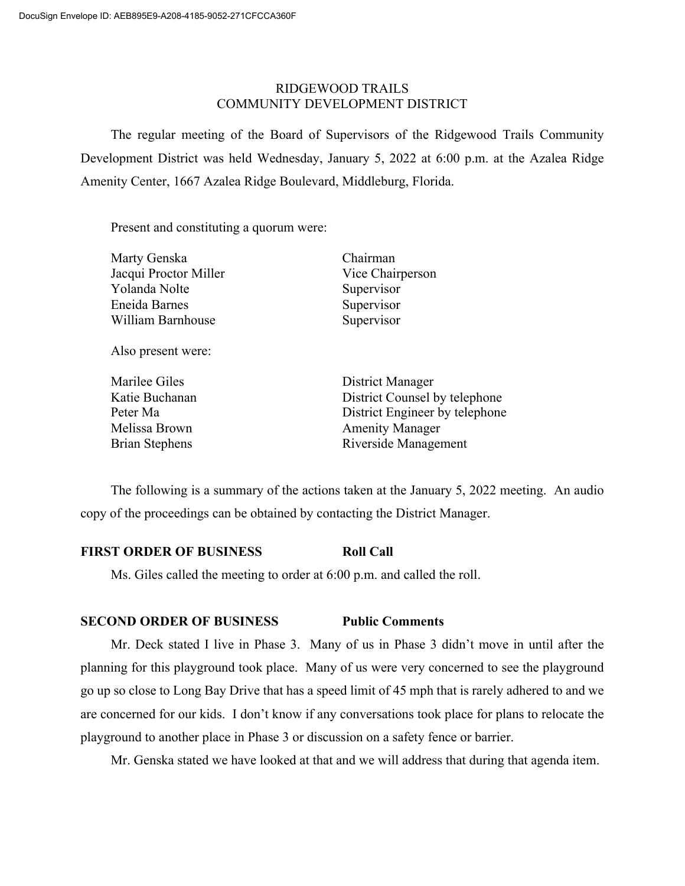# RIDGEWOOD TRAILS COMMUNITY DEVELOPMENT DISTRICT

The regular meeting of the Board of Supervisors of the Ridgewood Trails Community Development District was held Wednesday, January 5, 2022 at 6:00 p.m. at the Azalea Ridge Amenity Center, 1667 Azalea Ridge Boulevard, Middleburg, Florida.

Present and constituting a quorum were:

| Marty Genska          |  |
|-----------------------|--|
| Jacqui Proctor Miller |  |
| Yolanda Nolte         |  |
| Eneida Barnes         |  |
| William Barnhouse     |  |
|                       |  |
|                       |  |

Also present were:

| Marilee Giles         |
|-----------------------|
| Katie Buchanan        |
| Peter Ma              |
| Melissa Brown         |
| <b>Brian Stephens</b> |

Chairman Vice Chairperson Supervisor Supervisor Supervisor

District Manager District Counsel by telephone District Engineer by telephone Amenity Manager Riverside Management

The following is a summary of the actions taken at the January 5, 2022 meeting. An audio copy of the proceedings can be obtained by contacting the District Manager.

# **FIRST ORDER OF BUSINESS Roll Call**

Ms. Giles called the meeting to order at 6:00 p.m. and called the roll.

# **SECOND ORDER OF BUSINESS Public Comments**

Mr. Deck stated I live in Phase 3. Many of us in Phase 3 didn't move in until after the planning for this playground took place. Many of us were very concerned to see the playground go up so close to Long Bay Drive that has a speed limit of 45 mph that is rarely adhered to and we are concerned for our kids. I don't know if any conversations took place for plans to relocate the playground to another place in Phase 3 or discussion on a safety fence or barrier.

Mr. Genska stated we have looked at that and we will address that during that agenda item.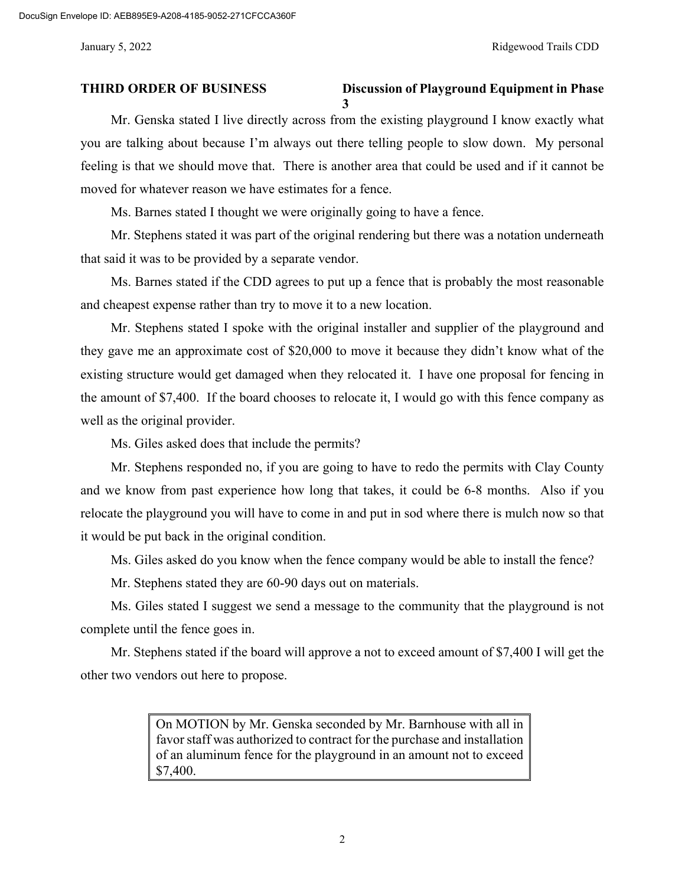### **THIRD ORDER OF BUSINESS Discussion of Playground Equipment in Phase 3**

Mr. Genska stated I live directly across from the existing playground I know exactly what you are talking about because I'm always out there telling people to slow down. My personal feeling is that we should move that. There is another area that could be used and if it cannot be moved for whatever reason we have estimates for a fence.

Ms. Barnes stated I thought we were originally going to have a fence.

Mr. Stephens stated it was part of the original rendering but there was a notation underneath that said it was to be provided by a separate vendor.

Ms. Barnes stated if the CDD agrees to put up a fence that is probably the most reasonable and cheapest expense rather than try to move it to a new location.

Mr. Stephens stated I spoke with the original installer and supplier of the playground and they gave me an approximate cost of \$20,000 to move it because they didn't know what of the existing structure would get damaged when they relocated it. I have one proposal for fencing in the amount of \$7,400. If the board chooses to relocate it, I would go with this fence company as well as the original provider.

Ms. Giles asked does that include the permits?

Mr. Stephens responded no, if you are going to have to redo the permits with Clay County and we know from past experience how long that takes, it could be 6-8 months. Also if you relocate the playground you will have to come in and put in sod where there is mulch now so that it would be put back in the original condition.

Ms. Giles asked do you know when the fence company would be able to install the fence?

Mr. Stephens stated they are 60-90 days out on materials.

Ms. Giles stated I suggest we send a message to the community that the playground is not complete until the fence goes in.

Mr. Stephens stated if the board will approve a not to exceed amount of \$7,400 I will get the other two vendors out here to propose.

> On MOTION by Mr. Genska seconded by Mr. Barnhouse with all in favor staff was authorized to contract for the purchase and installation of an aluminum fence for the playground in an amount not to exceed \$7,400.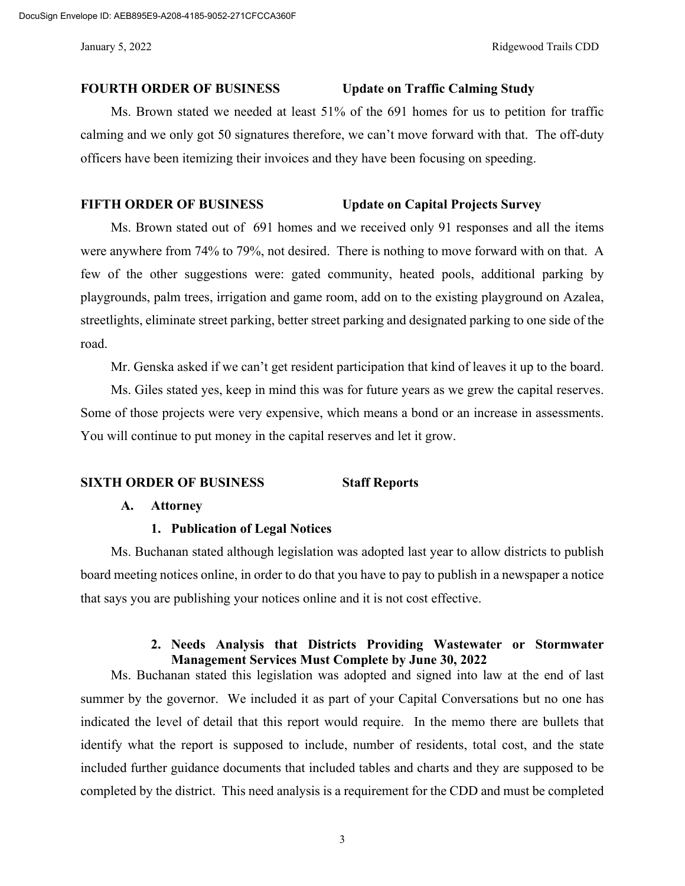DocuSign Envelope ID: AEB895E9-A208-4185-9052-271CFCCA360F

#### **FOURTH ORDER OF BUSINESS Update on Traffic Calming Study**

Ms. Brown stated we needed at least 51% of the 691 homes for us to petition for traffic calming and we only got 50 signatures therefore, we can't move forward with that. The off-duty officers have been itemizing their invoices and they have been focusing on speeding.

### **FIFTH ORDER OF BUSINESS Update on Capital Projects Survey**

Ms. Brown stated out of 691 homes and we received only 91 responses and all the items were anywhere from 74% to 79%, not desired. There is nothing to move forward with on that. A few of the other suggestions were: gated community, heated pools, additional parking by playgrounds, palm trees, irrigation and game room, add on to the existing playground on Azalea, streetlights, eliminate street parking, better street parking and designated parking to one side of the road.

Mr. Genska asked if we can't get resident participation that kind of leaves it up to the board.

Ms. Giles stated yes, keep in mind this was for future years as we grew the capital reserves. Some of those projects were very expensive, which means a bond or an increase in assessments. You will continue to put money in the capital reserves and let it grow.

#### **SIXTH ORDER OF BUSINESS Staff Reports**

### **A. Attorney**

### **1. Publication of Legal Notices**

Ms. Buchanan stated although legislation was adopted last year to allow districts to publish board meeting notices online, in order to do that you have to pay to publish in a newspaper a notice that says you are publishing your notices online and it is not cost effective.

### **2. Needs Analysis that Districts Providing Wastewater or Stormwater Management Services Must Complete by June 30, 2022**

Ms. Buchanan stated this legislation was adopted and signed into law at the end of last summer by the governor. We included it as part of your Capital Conversations but no one has indicated the level of detail that this report would require. In the memo there are bullets that identify what the report is supposed to include, number of residents, total cost, and the state included further guidance documents that included tables and charts and they are supposed to be completed by the district. This need analysis is a requirement for the CDD and must be completed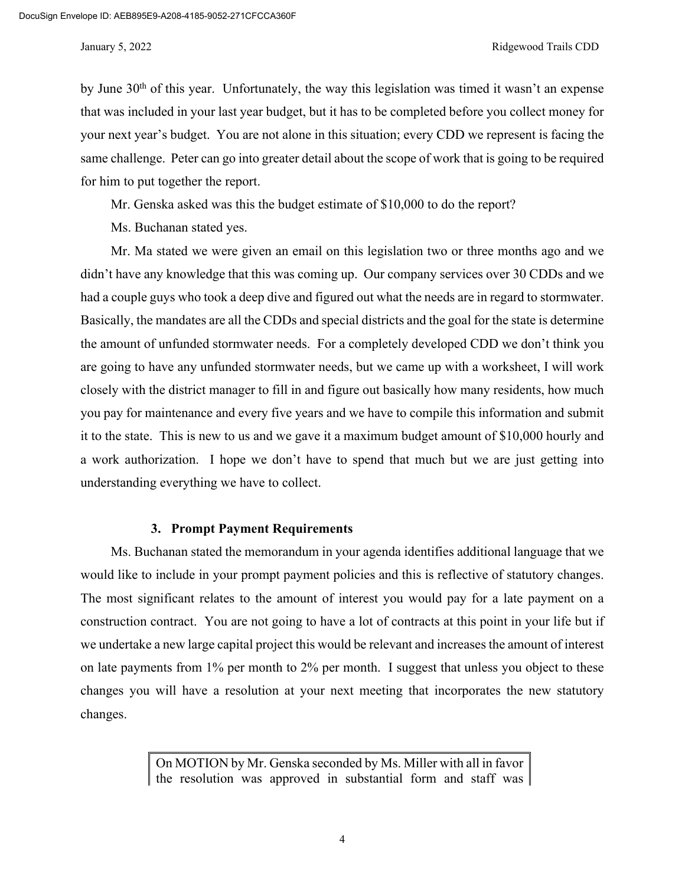#### January 5, 2022 Ridgewood Trails CDD

by June  $30<sup>th</sup>$  of this year. Unfortunately, the way this legislation was timed it wasn't an expense that was included in your last year budget, but it has to be completed before you collect money for your next year's budget. You are not alone in this situation; every CDD we represent is facing the same challenge. Peter can go into greater detail about the scope of work that is going to be required for him to put together the report.

Mr. Genska asked was this the budget estimate of \$10,000 to do the report?

Ms. Buchanan stated yes.

Mr. Ma stated we were given an email on this legislation two or three months ago and we didn't have any knowledge that this was coming up. Our company services over 30 CDDs and we had a couple guys who took a deep dive and figured out what the needs are in regard to stormwater. Basically, the mandates are all the CDDs and special districts and the goal for the state is determine the amount of unfunded stormwater needs. For a completely developed CDD we don't think you are going to have any unfunded stormwater needs, but we came up with a worksheet, I will work closely with the district manager to fill in and figure out basically how many residents, how much you pay for maintenance and every five years and we have to compile this information and submit it to the state. This is new to us and we gave it a maximum budget amount of \$10,000 hourly and a work authorization. I hope we don't have to spend that much but we are just getting into understanding everything we have to collect.

#### **3. Prompt Payment Requirements**

Ms. Buchanan stated the memorandum in your agenda identifies additional language that we would like to include in your prompt payment policies and this is reflective of statutory changes. The most significant relates to the amount of interest you would pay for a late payment on a construction contract. You are not going to have a lot of contracts at this point in your life but if we undertake a new large capital project this would be relevant and increases the amount of interest on late payments from 1% per month to 2% per month. I suggest that unless you object to these changes you will have a resolution at your next meeting that incorporates the new statutory changes.

> On MOTION by Mr. Genska seconded by Ms. Miller with all in favor the resolution was approved in substantial form and staff was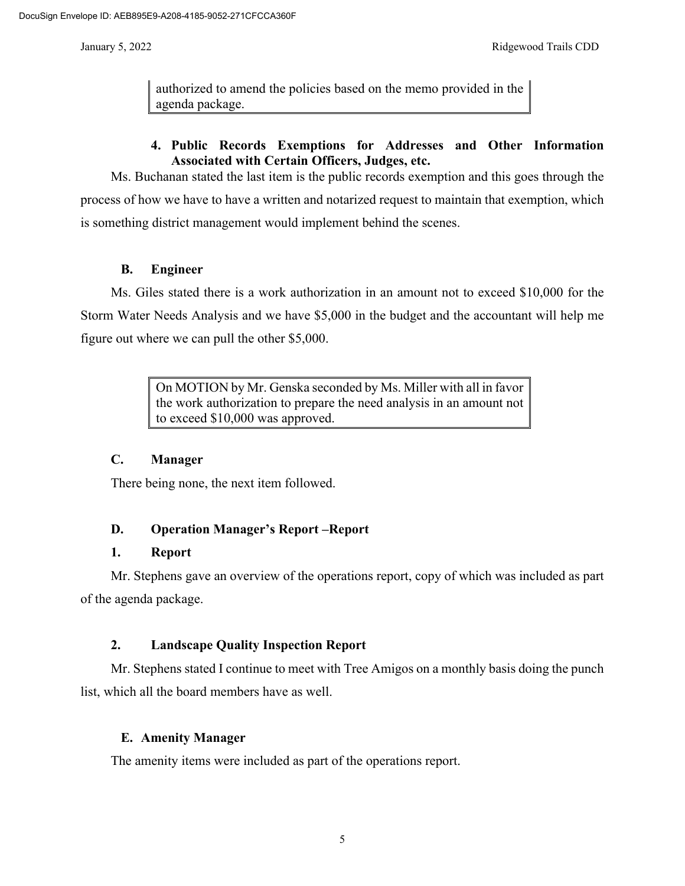authorized to amend the policies based on the memo provided in the agenda package.

# **4. Public Records Exemptions for Addresses and Other Information Associated with Certain Officers, Judges, etc.**

Ms. Buchanan stated the last item is the public records exemption and this goes through the process of how we have to have a written and notarized request to maintain that exemption, which is something district management would implement behind the scenes.

# **B. Engineer**

Ms. Giles stated there is a work authorization in an amount not to exceed \$10,000 for the Storm Water Needs Analysis and we have \$5,000 in the budget and the accountant will help me figure out where we can pull the other \$5,000.

> On MOTION by Mr. Genska seconded by Ms. Miller with all in favor the work authorization to prepare the need analysis in an amount not to exceed \$10,000 was approved.

# **C. Manager**

There being none, the next item followed.

# **D. Operation Manager's Report –Report**

### **1. Report**

Mr. Stephens gave an overview of the operations report, copy of which was included as part of the agenda package.

# **2. Landscape Quality Inspection Report**

Mr. Stephens stated I continue to meet with Tree Amigos on a monthly basis doing the punch list, which all the board members have as well.

# **E. Amenity Manager**

The amenity items were included as part of the operations report.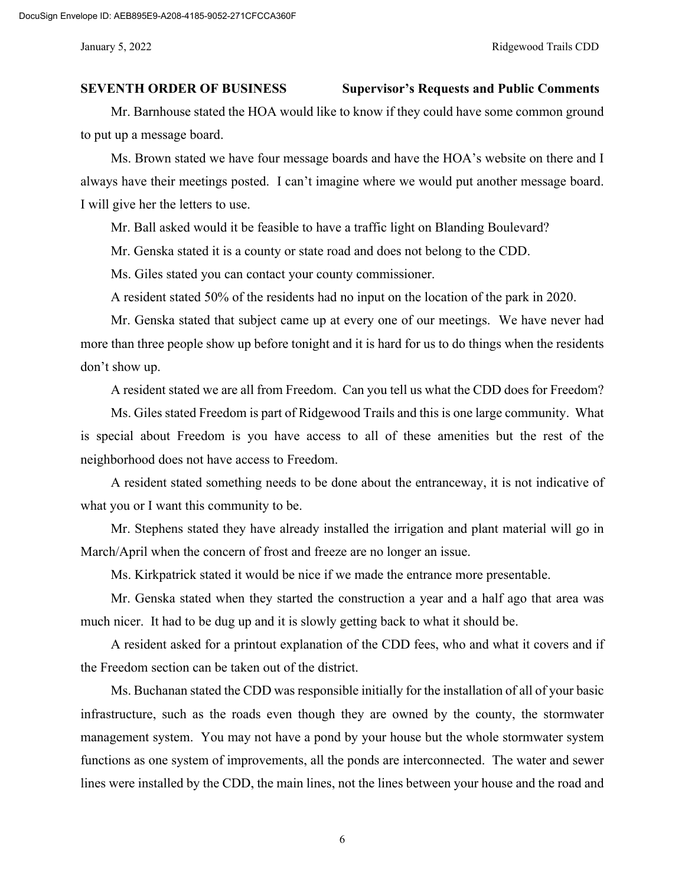#### **SEVENTH ORDER OF BUSINESS Supervisor's Requests and Public Comments**

Mr. Barnhouse stated the HOA would like to know if they could have some common ground to put up a message board.

Ms. Brown stated we have four message boards and have the HOA's website on there and I always have their meetings posted. I can't imagine where we would put another message board. I will give her the letters to use.

Mr. Ball asked would it be feasible to have a traffic light on Blanding Boulevard?

Mr. Genska stated it is a county or state road and does not belong to the CDD.

Ms. Giles stated you can contact your county commissioner.

A resident stated 50% of the residents had no input on the location of the park in 2020.

Mr. Genska stated that subject came up at every one of our meetings. We have never had more than three people show up before tonight and it is hard for us to do things when the residents don't show up.

A resident stated we are all from Freedom. Can you tell us what the CDD does for Freedom?

Ms. Giles stated Freedom is part of Ridgewood Trails and this is one large community. What is special about Freedom is you have access to all of these amenities but the rest of the neighborhood does not have access to Freedom.

A resident stated something needs to be done about the entranceway, it is not indicative of what you or I want this community to be.

Mr. Stephens stated they have already installed the irrigation and plant material will go in March/April when the concern of frost and freeze are no longer an issue.

Ms. Kirkpatrick stated it would be nice if we made the entrance more presentable.

Mr. Genska stated when they started the construction a year and a half ago that area was much nicer. It had to be dug up and it is slowly getting back to what it should be.

A resident asked for a printout explanation of the CDD fees, who and what it covers and if the Freedom section can be taken out of the district.

Ms. Buchanan stated the CDD was responsible initially for the installation of all of your basic infrastructure, such as the roads even though they are owned by the county, the stormwater management system. You may not have a pond by your house but the whole stormwater system functions as one system of improvements, all the ponds are interconnected. The water and sewer lines were installed by the CDD, the main lines, not the lines between your house and the road and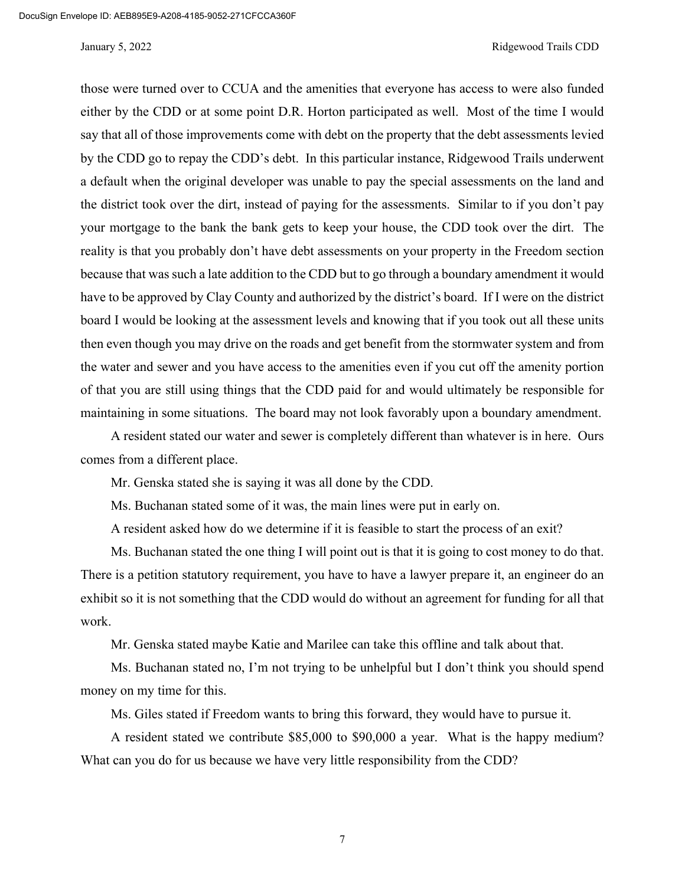#### January 5, 2022 Ridgewood Trails CDD

those were turned over to CCUA and the amenities that everyone has access to were also funded either by the CDD or at some point D.R. Horton participated as well. Most of the time I would say that all of those improvements come with debt on the property that the debt assessments levied by the CDD go to repay the CDD's debt. In this particular instance, Ridgewood Trails underwent a default when the original developer was unable to pay the special assessments on the land and the district took over the dirt, instead of paying for the assessments. Similar to if you don't pay your mortgage to the bank the bank gets to keep your house, the CDD took over the dirt. The reality is that you probably don't have debt assessments on your property in the Freedom section because that was such a late addition to the CDD but to go through a boundary amendment it would have to be approved by Clay County and authorized by the district's board. If I were on the district board I would be looking at the assessment levels and knowing that if you took out all these units then even though you may drive on the roads and get benefit from the stormwater system and from the water and sewer and you have access to the amenities even if you cut off the amenity portion of that you are still using things that the CDD paid for and would ultimately be responsible for maintaining in some situations. The board may not look favorably upon a boundary amendment.

A resident stated our water and sewer is completely different than whatever is in here. Ours comes from a different place.

Mr. Genska stated she is saying it was all done by the CDD.

Ms. Buchanan stated some of it was, the main lines were put in early on.

A resident asked how do we determine if it is feasible to start the process of an exit?

Ms. Buchanan stated the one thing I will point out is that it is going to cost money to do that. There is a petition statutory requirement, you have to have a lawyer prepare it, an engineer do an exhibit so it is not something that the CDD would do without an agreement for funding for all that work.

Mr. Genska stated maybe Katie and Marilee can take this offline and talk about that.

Ms. Buchanan stated no, I'm not trying to be unhelpful but I don't think you should spend money on my time for this.

Ms. Giles stated if Freedom wants to bring this forward, they would have to pursue it.

A resident stated we contribute \$85,000 to \$90,000 a year. What is the happy medium? What can you do for us because we have very little responsibility from the CDD?

7